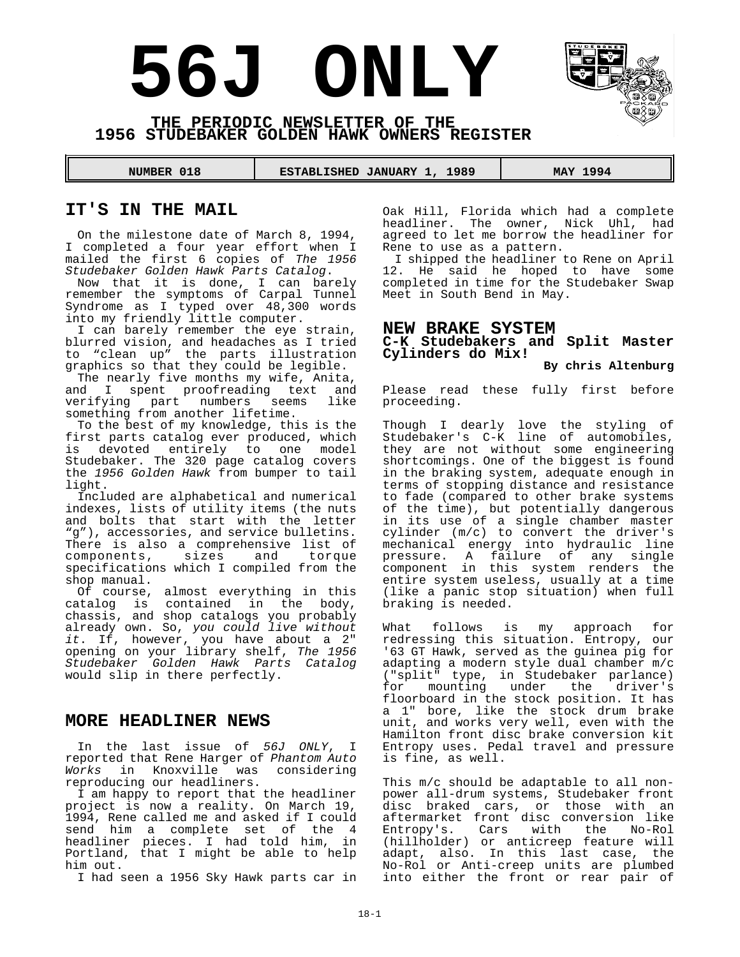# **56J ONLY**



#### **THE PERIODIC NEWSLETTER OF THE 1956 STUDEBAKER GOLDEN HAWK OWNERS REGISTER**

 **NUMBER 018 ESTABLISHED JANUARY 1, 1989 MAY 1994** 

#### **IT'S IN THE MAIL**

On the milestone date of March 8, 1994, I completed a four year effort when I mailed the first 6 copies of *The 1956*

*Studebaker Golden Hawk Parts Catalog*. Now that it is done, I can barely remember the symptoms of Carpal Tunnel Syndrome as I typed over 48,300 words into my friendly little computer.

I can barely remember the eye strain, blurred vision, and headaches as I tried to "clean up" the parts illustration graphics so that they could be legible.

The nearly five months my wife, Anita, and I spent proofreading text and verifying part numbers seems like something from another lifetime.

To the best of my knowledge, this is the first parts catalog ever produced, which<br>is devoted entirely to one model devoted entirely to one model Studebaker. The 320 page catalog covers the *1956 Golden Hawk* from bumper to tail light.

Included are alphabetical and numerical indexes, lists of utility items (the nuts and bolts that start with the letter "g"), accessories, and service bulletins. There is also a comprehensive list of<br>components, sizes and torque components, sizes and specifications which I compiled from the shop manual.

Of course, almost everything in this catalog is contained in the body, chassis, and shop catalogs you probably already own. So, *you could live without it*. If, however, you have about a 2" opening on your library shelf, *The 1956 Studebaker Golden Hawk Parts Catalog* would slip in there perfectly.

#### **MORE HEADLINER NEWS**

In the last issue of *56J ONLY*, I reported that Rene Harger of *Phantom Auto Works* in Knoxville was considering reproducing our headliners.

I am happy to report that the headliner project is now a reality. On March 19, 1994, Rene called me and asked if I could send him a complete set of the 4 headliner pieces. I had told him, in Portland, that I might be able to help him out.

I had seen a 1956 Sky Hawk parts car in

Oak Hill, Florida which had a complete headliner. The owner, Nick Uhl, had agreed to let me borrow the headliner for Rene to use as a pattern.

I shipped the headliner to Rene on April 12. He said he hoped to have some completed in time for the Studebaker Swap Meet in South Bend in May.

#### **NEW BRAKE SYSTEM**

**C-K Studebakers and Split Master Cylinders do Mix!**

#### **By chris Altenburg**

Please read these fully first before proceeding.

Though I dearly love the styling of Studebaker's C-K line of automobiles, they are not without some engineering shortcomings. One of the biggest is found in the braking system, adequate enough in terms of stopping distance and resistance to fade (compared to other brake systems of the time), but potentially dangerous in its use of a single chamber master cylinder (m/c) to convert the driver's mechanical energy into hydraulic line pressure. A failure of any single component in this system renders the entire system useless, usually at a time (like a panic stop situation) when full braking is needed.

What follows is my approach for redressing this situation. Entropy, our '63 GT Hawk, served as the guinea pig for adapting a modern style dual chamber m/c ("split" type, in Studebaker parlance) for mounting under the driver's floorboard in the stock position. It has a 1" bore, like the stock drum brake unit, and works very well, even with the Hamilton front disc brake conversion kit Entropy uses. Pedal travel and pressure is fine, as well.

This m/c should be adaptable to all nonpower all-drum systems, Studebaker front disc braked cars, or those with an aftermarket front disc conversion like Entropy's. Cars with the No-Rol (hillholder) or anticreep feature will adapt, also. In this last case, the No-Rol or Anti-creep units are plumbed into either the front or rear pair of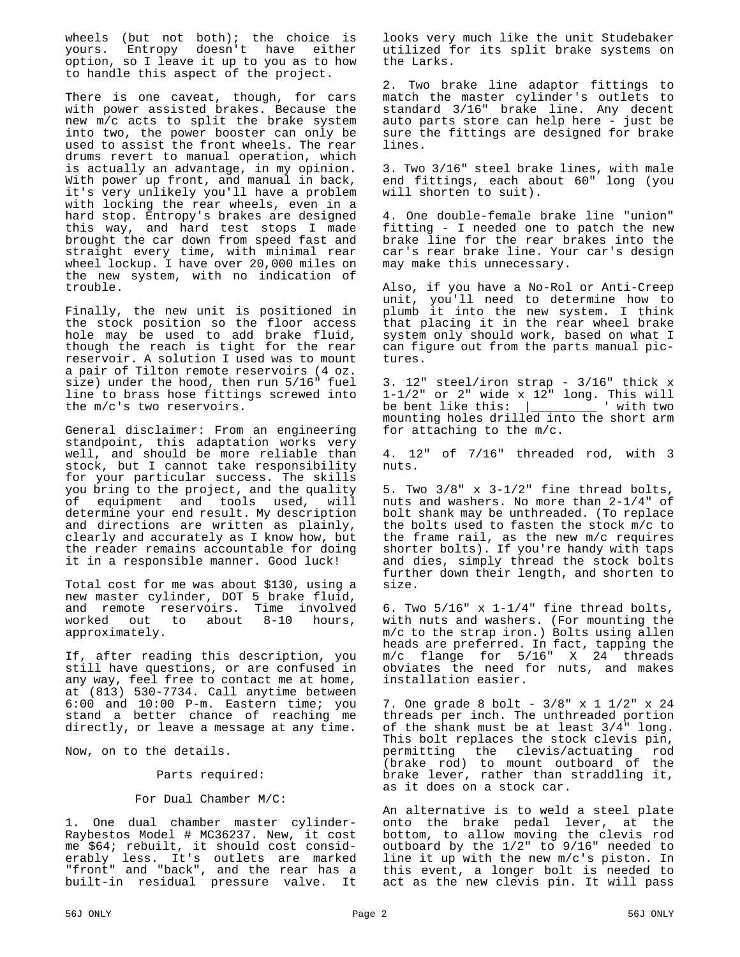wheels (but not both); the choice is yours. Entropy doesn't have either option, so I leave it up to you as to how to handle this aspect of the project.

There is one caveat, though, for cars with power assisted brakes. Because the new m/c acts to split the brake system into two, the power booster can only be used to assist the front wheels. The rear drums revert to manual operation, which is actually an advantage, in my opinion. With power up front, and manual in back, it's very unlikely you'll have a problem with locking the rear wheels, even in a hard stop. Entropy's brakes are designed this way, and hard test stops I made brought the car down from speed fast and straight every time, with minimal rear wheel lockup. I have over 20,000 miles on the new system, with no indication of trouble.

Finally, the new unit is positioned in the stock position so the floor access hole may be used to add brake fluid, though the reach is tight for the rear reservoir. A solution I used was to mount a pair of Tilton remote reservoirs (4 oz. size) under the hood, then run 5/16" fuel line to brass hose fittings screwed into the m/c's two reservoirs.

General disclaimer: From an engineering standpoint, this adaptation works very well, and should be more reliable than stock, but I cannot take responsibility for your particular success. The skills you bring to the project, and the quality of equipment and tools used, will determine your end result. My description and directions are written as plainly, clearly and accurately as I know how, but the reader remains accountable for doing it in a responsible manner. Good luck!

Total cost for me was about \$130, using a new master cylinder, DOT 5 brake fluid, and remote reservoirs. Time involved<br>worked out to about 8-10 hours, out to about 8-10 hours, approximately.

If, after reading this description, you still have questions, or are confused in any way, feel free to contact me at home, at (813) 530-7734. Call anytime between 6:00 and 10:00 P-m. Eastern time; you stand a better chance of reaching me directly, or leave a message at any time.

Now, on to the details.

Parts required:

#### For Dual Chamber M/C:

1. One dual chamber master cylinder-Raybestos Model # MC36237. New, it cost me \$64; rebuilt, it should cost considerably less. It's outlets are marked "front" and "back", and the rear has a built-in residual pressure valve. It looks very much like the unit Studebaker utilized for its split brake systems on the Larks.

2. Two brake line adaptor fittings to match the master cylinder's outlets to standard 3/16" brake line. Any decent auto parts store can help here - just be sure the fittings are designed for brake lines.

3. Two 3/16" steel brake lines, with male end fittings, each about 60" long (you will shorten to suit).

4. One double-female brake line "union" fitting - I needed one to patch the new brake line for the rear brakes into the car's rear brake line. Your car's design may make this unnecessary.

Also, if you have a No-Rol or Anti-Creep unit, you'll need to determine how to plumb it into the new system. I think that placing it in the rear wheel brake system only should work, based on what I can figure out from the parts manual pictures.

3. 12" steel/iron strap - 3/16" thick x 1-1/2" or 2" wide x 12" long. This will be bent like this: |\_\_\_\_\_\_\_\_\_ ' with two mounting holes drilled into the short arm for attaching to the m/c.

4. 12" of 7/16" threaded rod, with 3 nuts.

5. Two 3/8" x 3-1/2" fine thread bolts, nuts and washers. No more than 2-1/4" of bolt shank may be unthreaded. (To replace the bolts used to fasten the stock m/c to the frame rail, as the new m/c requires shorter bolts). If you're handy with taps and dies, simply thread the stock bolts further down their length, and shorten to size.

6. Two  $5/16$ " x  $1-1/4$ " fine thread bolts, with nuts and washers. (For mounting the m/c to the strap iron.) Bolts using allen heads are preferred. In fact, tapping the m/c flange for 5/16" X 24 threads obviates the need for nuts, and makes installation easier.

7. One grade 8 bolt - 3/8" x 1 1/2" x 24 threads per inch. The unthreaded portion of the shank must be at least 3/4" long. This bolt replaces the stock clevis pin, permitting the clevis/actuating rod (brake rod) to mount outboard of the brake lever, rather than straddling it, as it does on a stock car.

An alternative is to weld a steel plate onto the brake pedal lever, at the bottom, to allow moving the clevis rod outboard by the 1/2" to 9/16" needed to line it up with the new m/c's piston. In this event, a longer bolt is needed to act as the new clevis pin. It will pass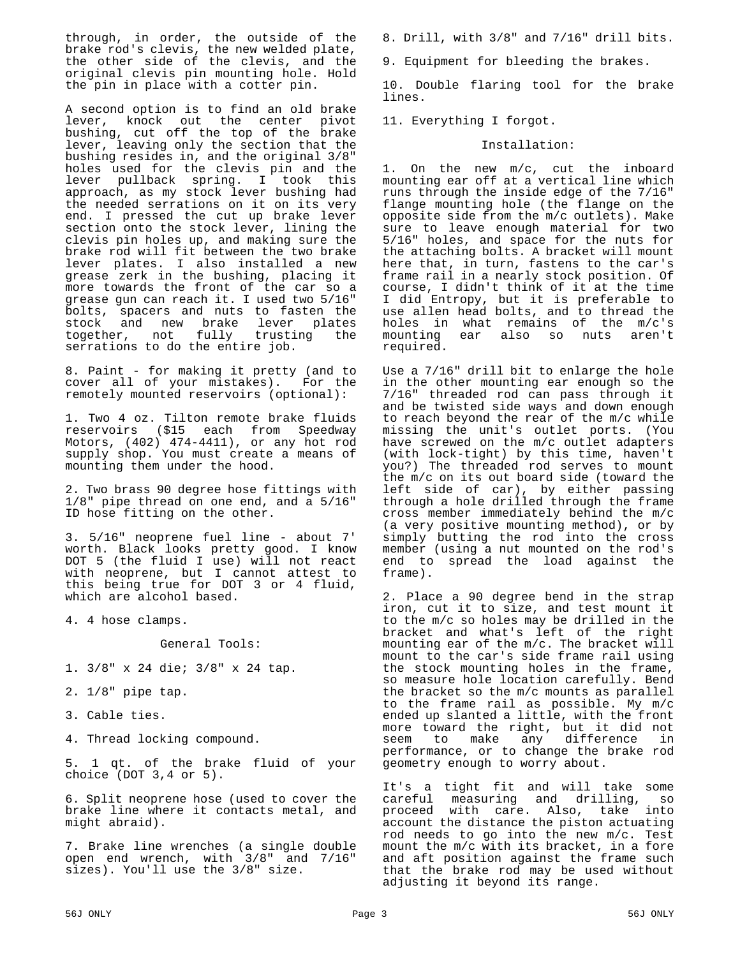through, in order, the outside of the brake rod's clevis, the new welded plate, the other side of the clevis, and the original clevis pin mounting hole. Hold the pin in place with a cotter pin.

A second option is to find an old brake lever, knock out the center pivot bushing, cut off the top of the brake lever, leaving only the section that the bushing resides in, and the original 3/8" holes used for the clevis pin and the lever pullback spring. I took this approach, as my stock lever bushing had the needed serrations on it on its very end. I pressed the cut up brake lever section onto the stock lever, lining the clevis pin holes up, and making sure the brake rod will fit between the two brake lever plates. I also installed a new grease zerk in the bushing, placing it more towards the front of the car so a grease gun can reach it. I used two 5/16" bolts, spacers and nuts to fasten the stock and new brake lever plates<br>together, not fully trusting the together, not fully serrations to do the entire job.

8. Paint - for making it pretty (and to cover all of your mistakes). For the remotely mounted reservoirs (optional):

1. Two 4 oz. Tilton remote brake fluids reservoirs (\$15 each from Speedway Motors, (402) 474-4411), or any hot rod supply shop. You must create a means of mounting them under the hood.

2. Two brass 90 degree hose fittings with 1/8" pipe thread on one end, and a 5/16" ID hose fitting on the other.

3. 5/16" neoprene fuel line - about 7' worth. Black looks pretty good. I know DOT 5 (the fluid I use) will not react with neoprene, but I cannot attest to this being true for DOT 3 or 4 fluid, which are alcohol based.

4. 4 hose clamps.

General Tools:

1. 3/8" x 24 die; 3/8" x 24 tap.

- 2. 1/8" pipe tap.
- 3. Cable ties.

4. Thread locking compound.

5. 1 qt. of the brake fluid of your choice (DOT 3,4 or 5).

6. Split neoprene hose (used to cover the brake line where it contacts metal, and might abraid).

7. Brake line wrenches (a single double open end wrench, with 3/8" and 7/16" sizes). You'll use the 3/8" size.

8. Drill, with 3/8" and 7/16" drill bits.

9. Equipment for bleeding the brakes.

10. Double flaring tool for the brake lines.

11. Everything I forgot.

#### Installation:

1. On the new m/c, cut the inboard mounting ear off at a vertical line which runs through the inside edge of the 7/16" flange mounting hole (the flange on the opposite side from the m/c outlets). Make sure to leave enough material for two 5/16" holes, and space for the nuts for the attaching bolts. A bracket will mount here that, in turn, fastens to the car's frame rail in a nearly stock position. Of course, I didn't think of it at the time I did Entropy, but it is preferable to use allen head bolts, and to thread the holes in what remains of the m/c's mounting ear also so nuts aren't required.

Use a 7/16" drill bit to enlarge the hole in the other mounting ear enough so the 7/16" threaded rod can pass through it and be twisted side ways and down enough to reach beyond the rear of the m/c while missing the unit's outlet ports. (You have screwed on the m/c outlet adapters (with lock-tight) by this time, haven't you?) The threaded rod serves to mount the m/c on its out board side (toward the left side of car), by either passing through a hole drilled through the frame cross member immediately behind the m/c (a very positive mounting method), or by simply butting the rod into the cross member (using a nut mounted on the rod's end to spread the load against the frame).

2. Place a 90 degree bend in the strap iron, cut it to size, and test mount it to the m/c so holes may be drilled in the bracket and what's left of the right mounting ear of the m/c. The bracket will mount to the car's side frame rail using the stock mounting holes in the frame, so measure hole location carefully. Bend the bracket so the m/c mounts as parallel to the frame rail as possible. My m/c ended up slanted a little, with the front more toward the right, but it did not seem to make any difference in performance, or to change the brake rod geometry enough to worry about.

It's a tight fit and will take some careful measuring and drilling, so proceed with care. Also, take into account the distance the piston actuating rod needs to go into the new m/c. Test mount the m/c with its bracket, in a fore and aft position against the frame such that the brake rod may be used without adjusting it beyond its range.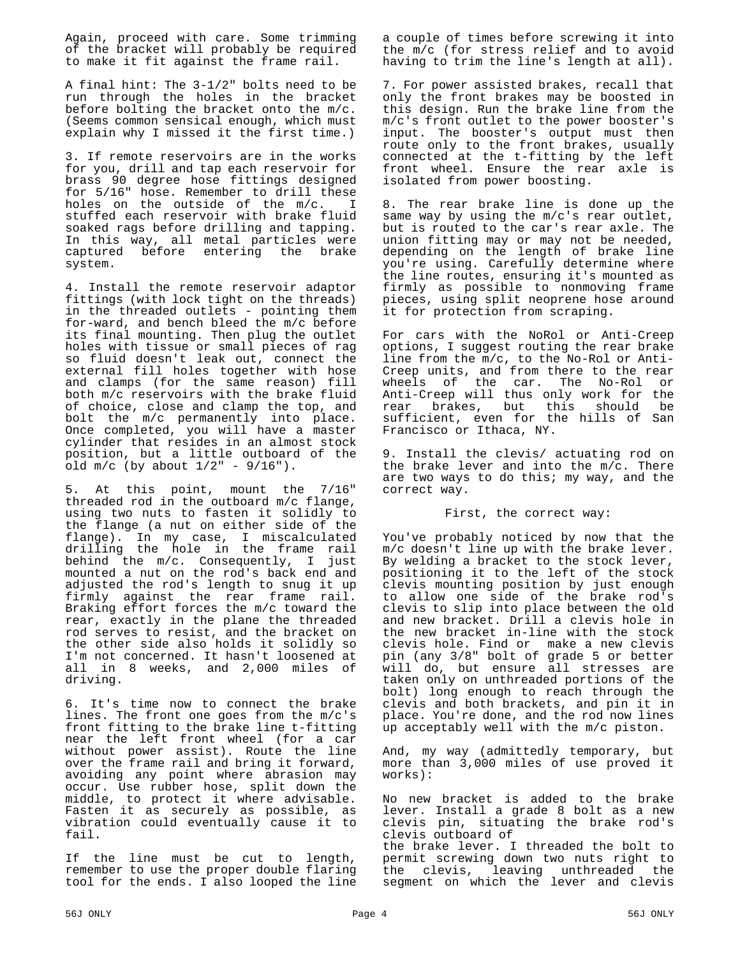Again, proceed with care. Some trimming of the bracket will probably be required to make it fit against the frame rail.

A final hint: The 3-1/2" bolts need to be run through the holes in the bracket before bolting the bracket onto the m/c. (Seems common sensical enough, which must explain why I missed it the first time.)

3. If remote reservoirs are in the works for you, drill and tap each reservoir for brass 90 degree hose fittings designed for 5/16" hose. Remember to drill these holes on the outside of the m/c. I stuffed each reservoir with brake fluid soaked rags before drilling and tapping. In this way, all metal particles were<br>captured before entering the brake captured before entering the system.

4. Install the remote reservoir adaptor fittings (with lock tight on the threads) in the threaded outlets - pointing them for-ward, and bench bleed the m/c before its final mounting. Then plug the outlet holes with tissue or small pieces of rag so fluid doesn't leak out, connect the external fill holes together with hose and clamps (for the same reason) fill both m/c reservoirs with the brake fluid of choice, close and clamp the top, and bolt the m/c permanently into place. Once completed, you will have a master cylinder that resides in an almost stock position, but a little outboard of the old  $m/c$  (by about  $1/2$ " -  $9/16$ ").

At this point, mount the 7/16" threaded rod in the outboard m/c flange, using two nuts to fasten it solidly to the flange (a nut on either side of the flange). In my case, I miscalculated drilling the hole in the frame rail behind the m/c. Consequently, I just mounted a nut on the rod's back end and adjusted the rod's length to snug it up firmly against the rear frame rail. Braking effort forces the m/c toward the rear, exactly in the plane the threaded rod serves to resist, and the bracket on the other side also holds it solidly so I'm not concerned. It hasn't loosened at all in 8 weeks, and 2,000 miles of driving.

6. It's time now to connect the brake lines. The front one goes from the m/c's front fitting to the brake line t-fitting near the left front wheel (for a car without power assist). Route the line over the frame rail and bring it forward, avoiding any point where abrasion may occur. Use rubber hose, split down the middle, to protect it where advisable. Fasten it as securely as possible, as vibration could eventually cause it to fail.

If the line must be cut to length, remember to use the proper double flaring tool for the ends. I also looped the line a couple of times before screwing it into the m/c (for stress relief and to avoid having to trim the line's length at all).

7. For power assisted brakes, recall that only the front brakes may be boosted in this design. Run the brake line from the m/c's front outlet to the power booster's input. The booster's output must then route only to the front brakes, usually connected at the t-fitting by the left front wheel. Ensure the rear axle is isolated from power boosting.

8. The rear brake line is done up the same way by using the m/c's rear outlet, but is routed to the car's rear axle. The union fitting may or may not be needed, depending on the length of brake line you're using. Carefully determine where the line routes, ensuring it's mounted as firmly as possible to nonmoving frame pieces, using split neoprene hose around it for protection from scraping.

For cars with the NoRol or Anti-Creep options, I suggest routing the rear brake line from the m/c, to the No-Rol or Anti-Creep units, and from there to the rear wheels of the car. The No-Rol or Anti-Creep will thus only work for the rear brakes, but this should be sufficient, even for the hills of San Francisco or Ithaca, NY.

9. Install the clevis/ actuating rod on the brake lever and into the  $m/c$ . There are two ways to do this; my way, and the correct way.

First, the correct way:

You've probably noticed by now that the m/c doesn't line up with the brake lever. By welding a bracket to the stock lever, positioning it to the left of the stock clevis mounting position by just enough to allow one side of the brake rod's clevis to slip into place between the old and new bracket. Drill a clevis hole in the new bracket in-line with the stock clevis hole. Find or make a new clevis pin (any 3/8" bolt of grade 5 or better will do, but ensure all stresses are taken only on unthreaded portions of the bolt) long enough to reach through the clevis and both brackets, and pin it in place. You're done, and the rod now lines up acceptably well with the m/c piston.

And, my way (admittedly temporary, but more than 3,000 miles of use proved it works):

No new bracket is added to the brake lever. Install a grade 8 bolt as a new clevis pin, situating the brake rod's clevis outboard of the brake lever. I threaded the bolt to permit screwing down two nuts right to the clevis, leaving unthreaded segment on which the lever and clevis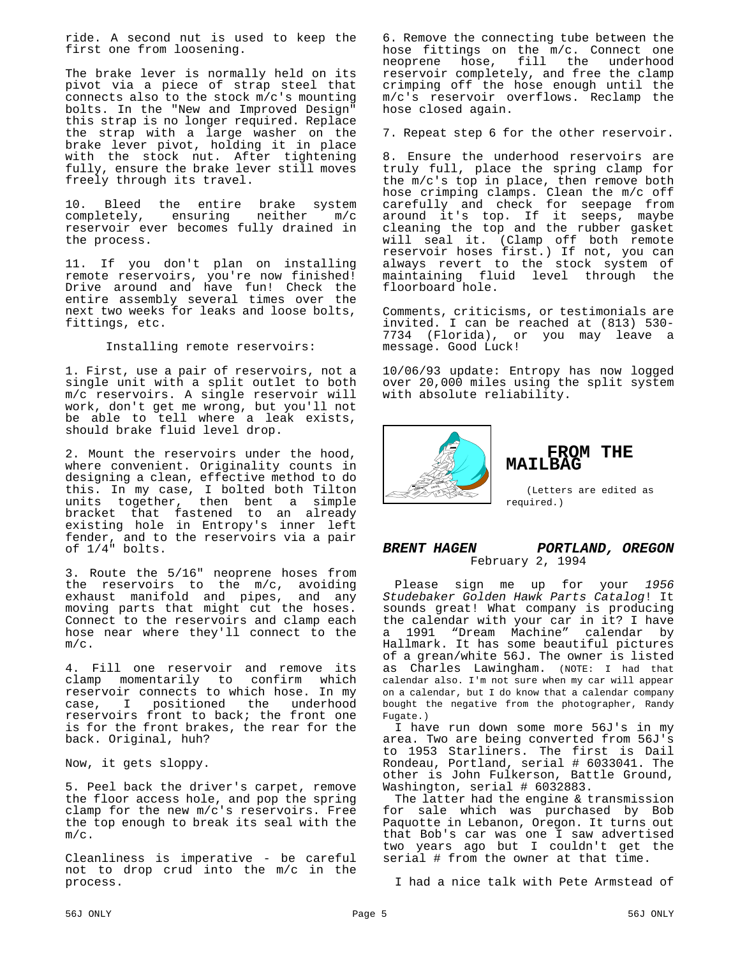ride. A second nut is used to keep the first one from loosening.

The brake lever is normally held on its pivot via a piece of strap steel that connects also to the stock m/c's mounting bolts. In the "New and Improved Design" this strap is no longer required. Replace the strap with a large washer on the brake lever pivot, holding it in place with the stock nut. After tightening fully, ensure the brake lever still moves freely through its travel.

10. Bleed the entire brake system<br>completely, ensuring neither m/c completely, ensuring reservoir ever becomes fully drained in the process.

11. If you don't plan on installing remote reservoirs, you're now finished! Drive around and have fun! Check the entire assembly several times over the next two weeks for leaks and loose bolts, fittings, etc.

Installing remote reservoirs:

1. First, use a pair of reservoirs, not a single unit with a split outlet to both m/c reservoirs. A single reservoir will work, don't get me wrong, but you'll not be able to tell where a leak exists, should brake fluid level drop.

2. Mount the reservoirs under the hood, where convenient. Originality counts in designing a clean, effective method to do this. In my case, I bolted both Tilton units together, then bent a simple bracket that fastened to an already existing hole in Entropy's inner left fender, and to the reservoirs via a pair of 1/4" bolts.

3. Route the 5/16" neoprene hoses from the reservoirs to the m/c, avoiding exhaust manifold and pipes, and any moving parts that might cut the hoses. Connect to the reservoirs and clamp each hose near where they'll connect to the m/c.

4. Fill one reservoir and remove its clamp momentarily to confirm which reservoir connects to which hose. In my<br>case, I positioned the underhood case, I positioned reservoirs front to back; the front one is for the front brakes, the rear for the back. Original, huh?

Now, it gets sloppy.

5. Peel back the driver's carpet, remove the floor access hole, and pop the spring clamp for the new m/c's reservoirs. Free the top enough to break its seal with the m/c.

Cleanliness is imperative - be careful not to drop crud into the m/c in the process.

6. Remove the connecting tube between the hose fittings on the m/c. Connect one neoprene hose, fill the underhood reservoir completely, and free the clamp crimping off the hose enough until the m/c's reservoir overflows. Reclamp the hose closed again.

7. Repeat step 6 for the other reservoir.

8. Ensure the underhood reservoirs are truly full, place the spring clamp for the m/c's top in place, then remove both hose crimping clamps. Clean the m/c off carefully and check for seepage from around it's top. If it seeps, maybe cleaning the top and the rubber gasket will seal it. (Clamp off both remote reservoir hoses first.) If not, you can always revert to the stock system of maintaining fluid level through the floorboard hole.

Comments, criticisms, or testimonials are invited. I can be reached at (813) 530- 7734 (Florida), or you may leave a message. Good Luck!

10/06/93 update: Entropy has now logged over 20,000 miles using the split system with absolute reliability.



#### **FROM THE MAILBAG**

(Letters are edited as required.)

*BRENT HAGEN PORTLAND, OREGON* February 2, 1994

Please sign me up for your *1956 Studebaker Golden Hawk Parts Catalog*! It sounds great! What company is producing the calendar with your car in it? I have a 1991 "Dream Machine" calendar by Hallmark. It has some beautiful pictures of a grean/white 56J. The owner is listed as Charles Lawingham. (NOTE: I had that calendar also. I'm not sure when my car will appear on a calendar, but I do know that a calendar company bought the negative from the photographer, Randy Fugate.)

I have run down some more 56J's in my area. Two are being converted from 56J's to 1953 Starliners. The first is Dail Rondeau, Portland, serial # 6033041. The other is John Fulkerson, Battle Ground, Washington, serial # 6032883.

The latter had the engine & transmission for sale which was purchased by Bob Paquotte in Lebanon, Oregon. It turns out that Bob's car was one I saw advertised two years ago but I couldn't get the serial # from the owner at that time.

I had a nice talk with Pete Armstead of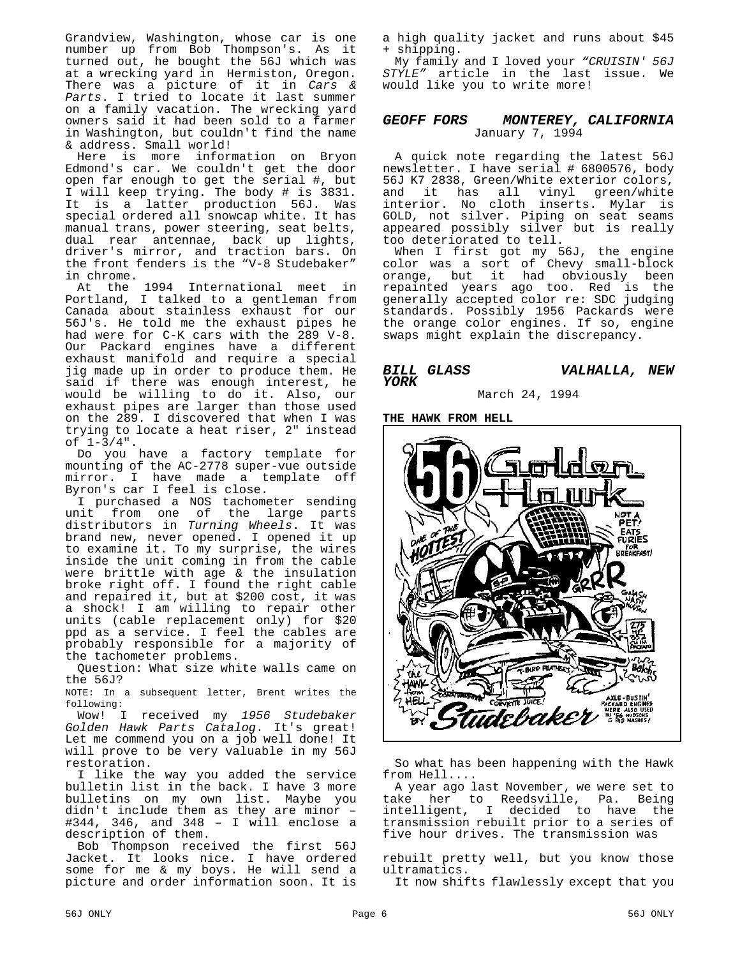Grandview, Washington, whose car is one number up from Bob Thompson's. As it turned out, he bought the 56J which was at a wrecking yard in Hermiston, Oregon. There was a picture of it in *Cars & Parts*. I tried to locate it last summer on a family vacation. The wrecking yard owners said it had been sold to a farmer in Washington, but couldn't find the name & address. Small world!

Here is more information on Bryon Edmond's car. We couldn't get the door open far enough to get the serial #, but I will keep trying. The body # is 3831. It is a latter production 56J. Was special ordered all snowcap white. It has manual trans, power steering, seat belts, dual rear antennae, back up lights, driver's mirror, and traction bars. On the front fenders is the "V-8 Studebaker" in chrome.

At the 1994 International meet in Portland, I talked to a gentleman from Canada about stainless exhaust for our 56J's. He told me the exhaust pipes he had were for C-K cars with the 289 V-8. Our Packard engines have a different exhaust manifold and require a special jig made up in order to produce them. He said if there was enough interest, he would be willing to do it. Also, our exhaust pipes are larger than those used on the 289. I discovered that when I was trying to locate a heat riser, 2" instead of  $1-3/4$ ".

Do you have a factory template for mounting of the AC-2778 super-vue outside mirror. I have made a template off Byron's car I feel is close.

I purchased a NOS tachometer sending unit from one of the large parts distributors in *Turning Wheels*. It was brand new, never opened. I opened it up to examine it. To my surprise, the wires inside the unit coming in from the cable were brittle with age & the insulation broke right off. I found the right cable and repaired it, but at \$200 cost, it was a shock! I am willing to repair other units (cable replacement only) for \$20 ppd as a service. I feel the cables are probably responsible for a majority of the tachometer problems.

Question: What size white walls came on the 56J?

NOTE: In a subsequent letter, Brent writes the following:

Wow! I received my *1956 Studebaker Golden Hawk Parts Catalog*. It's great! Let me commend you on a job well done! It will prove to be very valuable in my 56J restoration.

I like the way you added the service bulletin list in the back. I have 3 more bulletins on my own list. Maybe you didn't include them as they are minor – #344, 346, and 348 – I will enclose a description of them.

Bob Thompson received the first 56J Jacket. It looks nice. I have ordered some for me & my boys. He will send a picture and order information soon. It is a high quality jacket and runs about \$45 + shipping.

My family and I loved your *"CRUISIN' 56J STYLE"* article in the last issue. We would like you to write more!

#### *GEOFF FORS MONTEREY, CALIFORNIA* January 7, 1994

A quick note regarding the latest 56J newsletter. I have serial # 6800576, body 56J K7 2838, Green/White exterior colors, and it has all vinyl green/white interior. No cloth inserts. Mylar is GOLD, not silver. Piping on seat seams appeared possibly silver but is really too deteriorated to tell.

When I first got my 56J, the engine color was a sort of Chevy small-block orange, but it had obviously been repainted years ago too. Red is the generally accepted color re: SDC judging standards. Possibly 1956 Packards were the orange color engines. If so, engine swaps might explain the discrepancy.

#### *BILL GLASS VALHALLA, NEW YORK*

March 24, 1994

**THE HAWK FROM HELL**



So what has been happening with the Hawk from Hell....

A year ago last November, we were set to take her to Reedsville, Pa. Being intelligent, I decided to have the transmission rebuilt prior to a series of five hour drives. The transmission was

rebuilt pretty well, but you know those ultramatics.

It now shifts flawlessly except that you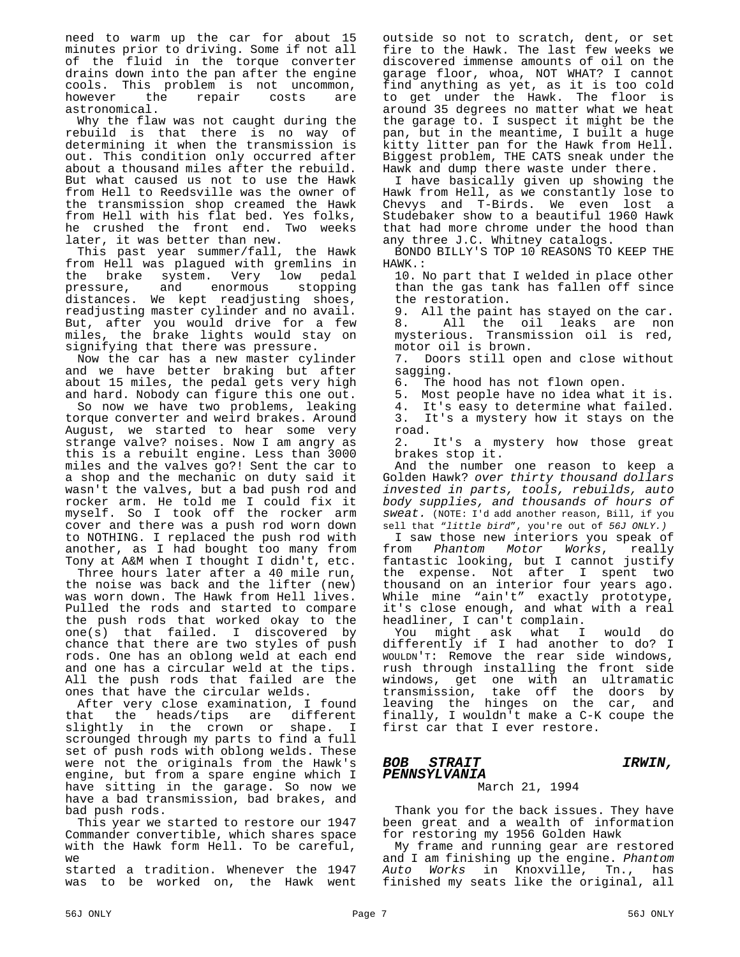need to warm up the car for about 15 minutes prior to driving. Some if not all of the fluid in the torque converter drains down into the pan after the engine cools. This problem is not uncommon,<br>however the repair costs are repair astronomical.

Why the flaw was not caught during the rebuild is that there is no way of determining it when the transmission is out. This condition only occurred after about a thousand miles after the rebuild. But what caused us not to use the Hawk from Hell to Reedsville was the owner of the transmission shop creamed the Hawk from Hell with his flat bed. Yes folks, he crushed the front end. Two weeks later, it was better than new.

This past year summer/fall, the Hawk from Hell was plagued with gremlins in<br>the brake system. Very low pedal the brake system. Very low<br>pressure, and enormous st pressure, and enormous stopping distances. We kept readjusting shoes, readjusting master cylinder and no avail. But, after you would drive for a few miles, the brake lights would stay on signifying that there was pressure.

Now the car has a new master cylinder and we have better braking but after about 15 miles, the pedal gets very high and hard. Nobody can figure this one out.

So now we have two problems, leaking torque converter and weird brakes. Around August, we started to hear some very strange valve? noises. Now I am angry as this is a rebuilt engine. Less than 3000 miles and the valves go?! Sent the car to a shop and the mechanic on duty said it wasn't the valves, but a bad push rod and rocker arm. He told me I could fix it myself. So I took off the rocker arm cover and there was a push rod worn down to NOTHING. I replaced the push rod with another, as I had bought too many from Tony at A&M when I thought I didn't, etc.

Three hours later after a 40 mile run, the noise was back and the lifter (new) was worn down. The Hawk from Hell lives. Pulled the rods and started to compare the push rods that worked okay to the one(s) that failed. I discovered by chance that there are two styles of push rods. One has an oblong weld at each end and one has a circular weld at the tips. All the push rods that failed are the ones that have the circular welds.

After very close examination, I found that the heads/tips are different slightly in the crown or shape. I scrounged through my parts to find a full set of push rods with oblong welds. These were not the originals from the Hawk's engine, but from a spare engine which I have sitting in the garage. So now we have a bad transmission, bad brakes, and bad push rods.

This year we started to restore our 1947 Commander convertible, which shares space with the Hawk form Hell. To be careful,  $W \ominus$ 

started a tradition. Whenever the 1947 was to be worked on, the Hawk went

outside so not to scratch, dent, or set fire to the Hawk. The last few weeks we discovered immense amounts of oil on the garage floor, whoa, NOT WHAT? I cannot find anything as yet, as it is too cold to get under the Hawk. The floor is around 35 degrees no matter what we heat the garage to. I suspect it might be the pan, but in the meantime, I built a huge kitty litter pan for the Hawk from Hell. Biggest problem, THE CATS sneak under the Hawk and dump there waste under there.

I have basically given up showing the Hawk from Hell, as we constantly lose to Chevys and T-Birds. We even lost a Studebaker show to a beautiful 1960 Hawk that had more chrome under the hood than any three J.C. Whitney catalogs.

BONDO BILLY'S TOP 10 REASONS TO KEEP THE HAWK.:

10. No part that I welded in place other than the gas tank has fallen off since the restoration.

9. All the paint has stayed on the car.<br>8. All the oil leaks are non All the oil leaks are non mysterious. Transmission oil is red, motor oil is brown.

7. Doors still open and close without sagging.

6. The hood has not flown open.

5. Most people have no idea what it is.

4. It's easy to determine what failed. 3. It's a mystery how it stays on the road.

2. It's a mystery how those great brakes stop it.

And the number one reason to keep a Golden Hawk? *over thirty thousand dollars invested in parts, tools, rebuilds, auto body supplies, and thousands of hours of sweat.* (NOTE: I'd add another reason, Bill, if you sell that "*little bird*", you're out of *56J ONLY.)*

I saw those new interiors you speak of from *Phantom Motor Works*, really fantastic looking, but I cannot justify the expense. Not after I spent two thousand on an interior four years ago. While mine "ain't" exactly prototype, it's close enough, and what with a real headliner, I can't complain.

You might ask what I would do differently if I had another to do? I WOULDN'T: Remove the rear side windows, rush through installing the front side windows, get one with an ultramatic transmission, take off the doors by leaving the hinges on the car, and finally, I wouldn't make a C-K coupe the first car that I ever restore.

#### *BOB STRAIT IRWIN, PENNSYLVANIA*

#### March 21, 1994

Thank you for the back issues. They have been great and a wealth of information for restoring my 1956 Golden Hawk

My frame and running gear are restored and I am finishing up the engine. *Phantom Auto Works* in Knoxville, Tn., has finished my seats like the original, all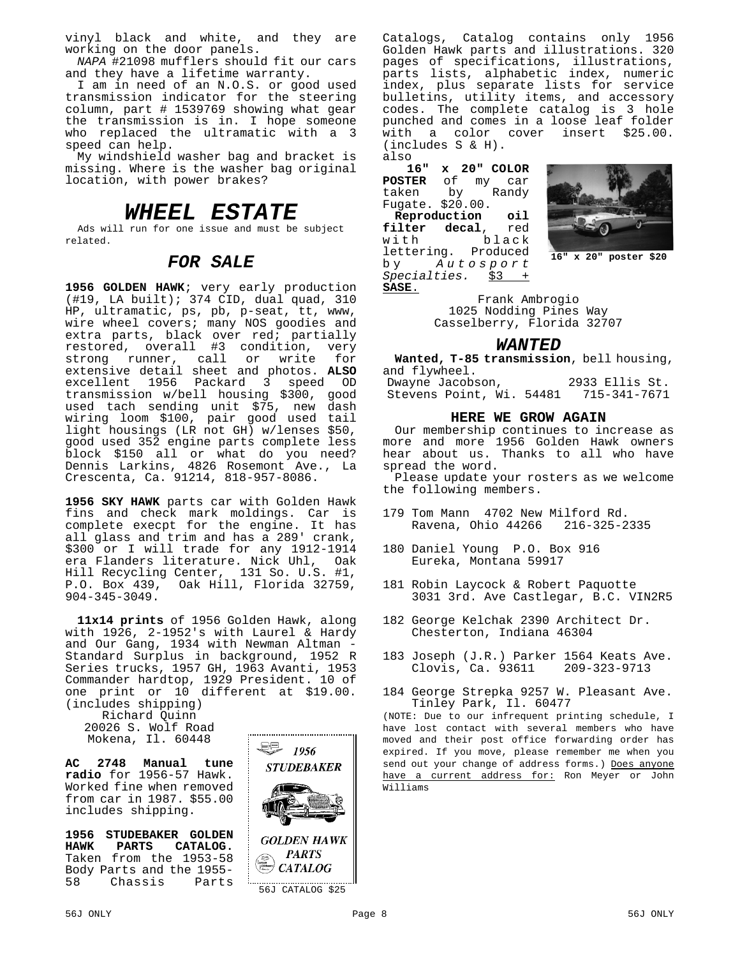vinyl black and white, and they are working on the door panels.

*NAPA* #21098 mufflers should fit our cars and they have a lifetime warranty.

I am in need of an N.O.S. or good used transmission indicator for the steering column, part # 1539769 showing what gear the transmission is in. I hope someone who replaced the ultramatic with a 3 speed can help.

My windshield washer bag and bracket is missing. Where is the washer bag original location, with power brakes?

### *WHEEL ESTATE*

Ads will run for one issue and must be subject related.

#### *FOR SALE*

**1956 GOLDEN HAWK**; very early production (#19, LA built); 374 CID, dual quad, 310 HP, ultramatic, ps, pb, p-seat, tt, www, wire wheel covers; many NOS goodies and extra parts, black over red; partially restored, overall #3 condition, very<br>strong runner, call or write for call or write for extensive detail sheet and photos. **ALSO** excellent 1956 Packard 3 speed OD transmission w/bell housing \$300, good used tach sending unit \$75, new dash wiring loom \$100, pair good used tail light housings (LR not GH) w/lenses \$50, good used 352 engine parts complete less block \$150 all or what do you need? Dennis Larkins, 4826 Rosemont Ave., La Crescenta, Ca. 91214, 818-957-8086.

**1956 SKY HAWK** parts car with Golden Hawk fins and check mark moldings. Car is complete execpt for the engine. It has all glass and trim and has a 289' crank, \$300 or I will trade for any 1912-1914 era Flanders literature. Nick Uhl, Oak Hill Recycling Center, 131 So. U.S. #1, P.O. Box 439, Oak Hill, Florida 32759, 904-345-3049.

**11x14 prints** of 1956 Golden Hawk, along with 1926, 2-1952's with Laurel & Hardy and Our Gang, 1934 with Newman Altman - Standard Surplus in background, 1952 R Series trucks, 1957 GH, 1963 Avanti, 1953 Commander hardtop, 1929 President. 10 of one print or 10 different at \$19.00. (includes shipping)

Richard Quinn

20026 S. Wolf Road Mokena, Il. 60448

**AC 2748 Manual tune radio** for 1956-57 Hawk. Worked fine when removed from car in 1987. \$55.00 includes shipping.

**1956 STUDEBAKER GOLDEN** CATALOG. Taken from the 1953-58 Body Parts and the 1955- 58 Chassis Parts



Catalogs, Catalog contains only 1956 Golden Hawk parts and illustrations. 320 pages of specifications, illustrations, parts lists, alphabetic index, numeric index, plus separate lists for service bulletins, utility items, and accessory codes. The complete catalog is 3 hole punched and comes in a loose leaf folder with a color cover (includes S & H). also

**16" x 20" COLOR POSTER** of my car taken by Randy Fugate. \$20.00. **Reproduction oil filter decal**, red black<br>Produced lettering.<br>by  $A u t$ by *Autosport*

*Specialties.* \$3 +



**16" x 20" poster \$20**

**SASE**. Frank Ambrogio 1025 Nodding Pines Way Casselberry, Florida 32707

#### *WANTED*

**Wanted, T-85 transmission**, bell housing, and flywheel. Dwayne Jacobson, 2933 Ellis St.

Stevens Point, Wi. 54481 715-341-7671

#### **HERE WE GROW AGAIN**

Our membership continues to increase as more and more 1956 Golden Hawk owners hear about us. Thanks to all who have spread the word.

Please update your rosters as we welcome the following members.

- 179 Tom Mann 4702 New Milford Rd. Ravena, Ohio 44266
- 180 Daniel Young P.O. Box 916 Eureka, Montana 59917
- 181 Robin Laycock & Robert Paquotte 3031 3rd. Ave Castlegar, B.C. VIN2R5
- 182 George Kelchak 2390 Architect Dr. Chesterton, Indiana 46304
- 183 Joseph (J.R.) Parker 1564 Keats Ave.<br>Clovis. Ca. 93611 209-323-9713  $Clovis, Ca. 93611$
- 184 George Strepka 9257 W. Pleasant Ave. Tinley Park, Il. 60477

(NOTE: Due to our infrequent printing schedule, I have lost contact with several members who have moved and their post office forwarding order has expired. If you move, please remember me when you send out your change of address forms.) Does anyone have a current address for: Ron Meyer or John Williams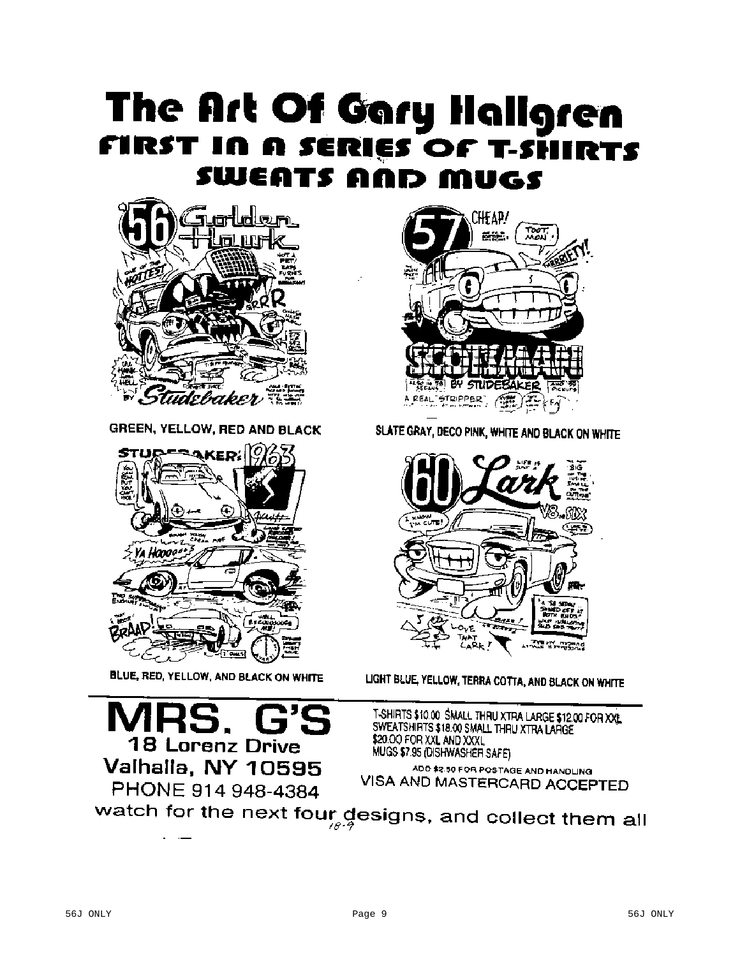# The Art Of Gary Hallgren FIRST IN A SERIES OF T-SHIRTS **SWEATS AND MUGS**



**GREEN, YELLOW, RED AND BLACK** 



BLUE, RED, YELLOW, AND BLACK ON WHITE



SLATE GRAY, DECO PINK, WHITE AND BLACK ON WHITE



LIGHT BLUE, YELLOW, TERRA COTTA, AND BLACK ON WHITE

**18 Lorenz Drive** Valhalla, NY 10595 PHONE 914 948-4384

T-SHIRTS \$10.00 SMALL THRU XTRA LARGE \$12.00 FOR XXL. SWEATSHIRTS \$18.00 SMALL THRU XTRA LARGE \$20.00 FOR XXL AND XXXL MUGS \$7.95 (DISHWASHER SAFE)

ADD \$2.50 FOR POSTAGE AND HANDLING VISA AND MASTERCARD ACCEPTED

watch for the next four designs, and collect them all